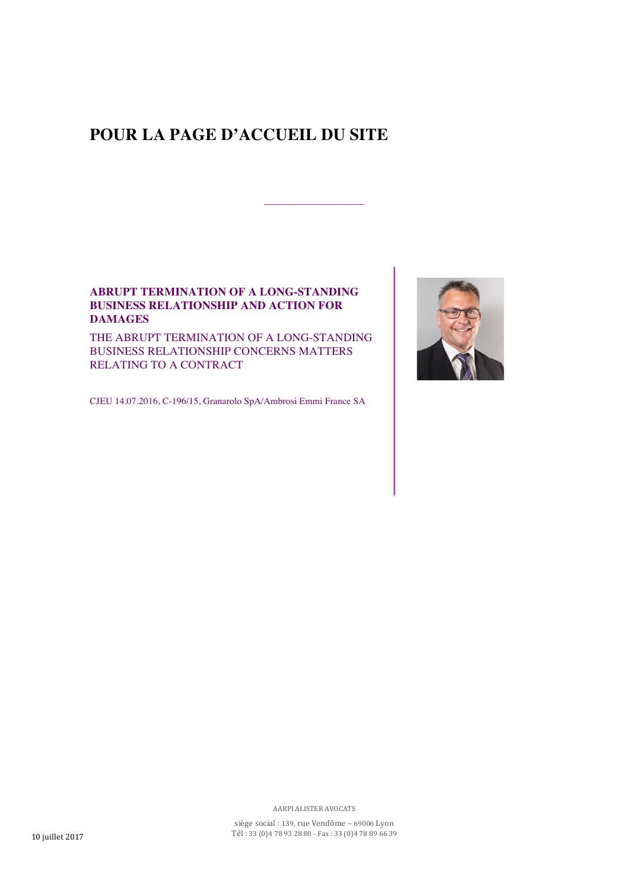## **POUR LA PAGE D'ACCUEIL DU SITE**

\_\_\_\_\_\_\_\_\_\_\_\_\_\_\_\_\_\_\_

## **ABRUPT TERMINATION OF A LONG-STANDING BUSINESS RELATIONSHIP AND ACTION FOR DAMAGES**

THE ABRUPT TERMINATION OF A LONG-STANDING BUSINESS RELATIONSHIP CONCERNS MATTERS RELATING TO A CONTRACT

CJEU 14.07.2016, C-196/15, Granarolo SpA/Ambrosi Emmi France SA



AARPI ALISTER AVOCATS